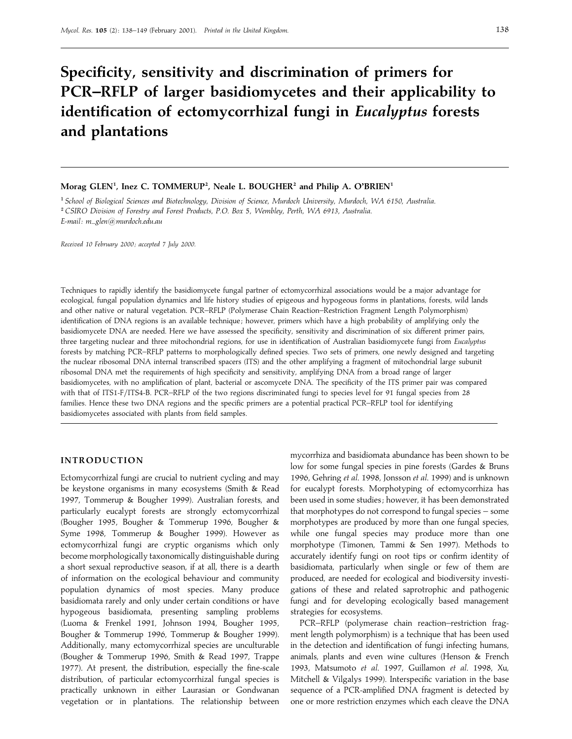# **Specificity, sensitivity and discrimination of primers for PCR–RFLP of larger basidiomycetes and their applicability to identification of ectomycorrhizal fungi in** *Eucalyptus* **forests and plantations**

## $M$ orag GLEN<sup>1</sup>, Inez C. TOMMERUP<sup>2</sup>, Neale L. BOUGHER<sup>2</sup> and Philip A. O'BRIEN<sup>1</sup>

" *School of Biological Sciences and Biotechnology*, *Division of Science*, *Murdoch University*, *Murdoch*, *WA 6150*, *Australia*. #*CSIRO Division of Forestry and Forest Products*, *<sup>P</sup>*.*O*. *Box* 5, *Wembley*, *Perth*, *WA 6913*, *Australia*. *E*-*mail: m*j*glen*!*murdoch*.*edu*.*au*

*Received 10 February 2000 ; accepted 7 July 2000.*

Techniques to rapidly identify the basidiomycete fungal partner of ectomycorrhizal associations would be a major advantage for ecological, fungal population dynamics and life history studies of epigeous and hypogeous forms in plantations, forests, wild lands and other native or natural vegetation. PCR–RFLP (Polymerase Chain Reaction–Restriction Fragment Length Polymorphism) identification of DNA regions is an available technique; however, primers which have a high probability of amplifying only the basidiomycete DNA are needed. Here we have assessed the specificity, sensitivity and discrimination of six different primer pairs, three targeting nuclear and three mitochondrial regions, for use in identification of Australian basidiomycete fungi from *Eucalyptus* forests by matching PCR–RFLP patterns to morphologically defined species. Two sets of primers, one newly designed and targeting the nuclear ribosomal DNA internal transcribed spacers (ITS) and the other amplifying a fragment of mitochondrial large subunit ribosomal DNA met the requirements of high specificity and sensitivity, amplifying DNA from a broad range of larger basidiomycetes, with no amplification of plant, bacterial or ascomycete DNA. The specificity of the ITS primer pair was compared with that of ITS1-F/ITS4-B. PCR–RFLP of the two regions discriminated fungi to species level for 91 fungal species from 28 families. Hence these two DNA regions and the specific primers are a potential practical PCR–RFLP tool for identifying basidiomycetes associated with plants from field samples.

## **INTRODUCTION**

Ectomycorrhizal fungi are crucial to nutrient cycling and may be keystone organisms in many ecosystems (Smith & Read 1997, Tommerup & Bougher 1999). Australian forests, and particularly eucalypt forests are strongly ectomycorrhizal (Bougher 1995, Bougher & Tommerup 1996, Bougher & Syme 1998, Tommerup & Bougher 1999). However as ectomycorrhizal fungi are cryptic organisms which only become morphologically taxonomically distinguishable during a short sexual reproductive season, if at all, there is a dearth of information on the ecological behaviour and community population dynamics of most species. Many produce basidiomata rarely and only under certain conditions or have hypogeous basidiomata, presenting sampling problems (Luoma & Frenkel 1991, Johnson 1994, Bougher 1995, Bougher & Tommerup 1996, Tommerup & Bougher 1999). Additionally, many ectomycorrhizal species are unculturable (Bougher & Tommerup 1996, Smith & Read 1997, Trappe 1977). At present, the distribution, especially the fine-scale distribution, of particular ectomycorrhizal fungal species is practically unknown in either Laurasian or Gondwanan vegetation or in plantations. The relationship between mycorrhiza and basidiomata abundance has been shown to be low for some fungal species in pine forests (Gardes & Bruns 1996, Gehring *et al*. 1998, Jonsson *et al*. 1999) and is unknown for eucalypt forests. Morphotyping of ectomycorrhiza has been used in some studies ; however, it has been demonstrated that morphotypes do not correspond to fungal species – some morphotypes are produced by more than one fungal species, while one fungal species may produce more than one morphotype (Timonen, Tammi & Sen 1997). Methods to accurately identify fungi on root tips or confirm identity of basidiomata, particularly when single or few of them are produced, are needed for ecological and biodiversity investigations of these and related saprotrophic and pathogenic fungi and for developing ecologically based management strategies for ecosystems.

PCR–RFLP (polymerase chain reaction–restriction fragment length polymorphism) is a technique that has been used in the detection and identification of fungi infecting humans, animals, plants and even wine cultures (Henson & French 1993, Matsumoto *et al*. 1997, Guillamon *et al*. 1998, Xu, Mitchell & Vilgalys 1999). Interspecific variation in the base sequence of a PCR-amplified DNA fragment is detected by one or more restriction enzymes which each cleave the DNA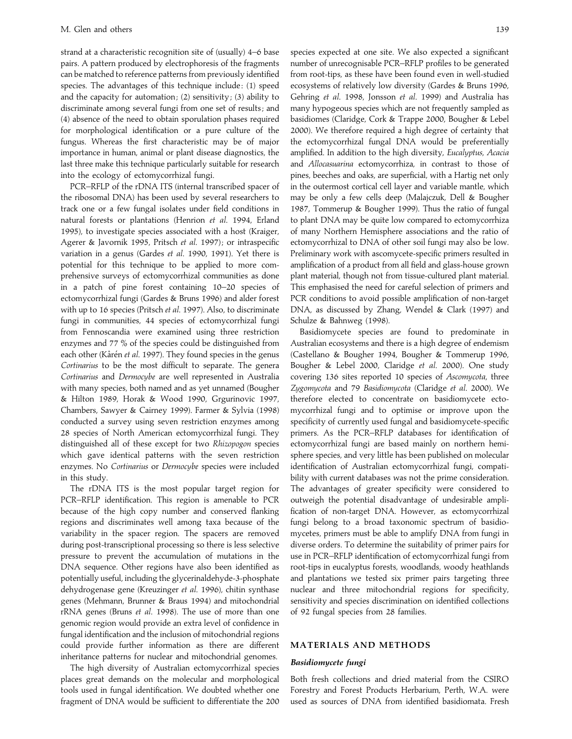strand at a characteristic recognition site of (usually) 4–6 base pairs. A pattern produced by electrophoresis of the fragments can be matched to reference patterns from previously identified species. The advantages of this technique include : (1) speed and the capacity for automation; (2) sensitivity; (3) ability to discriminate among several fungi from one set of results; and (4) absence of the need to obtain sporulation phases required for morphological identification or a pure culture of the fungus. Whereas the first characteristic may be of major importance in human, animal or plant disease diagnostics, the last three make this technique particularly suitable for research into the ecology of ectomycorrhizal fungi.

PCR–RFLP of the rDNA ITS (internal transcribed spacer of the ribosomal DNA) has been used by several researchers to track one or a few fungal isolates under field conditions in natural forests or plantations (Henrion *et al*. 1994, Erland 1995), to investigate species associated with a host (Kraiger, Agerer & Javornik 1995, Pritsch et al. 1997); or intraspecific variation in a genus (Gardes *et al*. 1990, 1991). Yet there is potential for this technique to be applied to more comprehensive surveys of ectomycorrhizal communities as done in a patch of pine forest containing 10–20 species of ectomycorrhizal fungi (Gardes & Bruns 1996) and alder forest with up to 16 species (Pritsch *et al*. 1997). Also, to discriminate fungi in communities, 44 species of ectomycorrhizal fungi from Fennoscandia were examined using three restriction enzymes and 77 % of the species could be distinguished from each other (Kårén et al. 1997). They found species in the genus *Cortinarius* to be the most difficult to separate. The genera *Cortinarius* and *Dermocybe* are well represented in Australia with many species, both named and as yet unnamed (Bougher & Hilton 1989, Horak & Wood 1990, Grgurinovic 1997, Chambers, Sawyer & Cairney 1999). Farmer & Sylvia (1998) conducted a survey using seven restriction enzymes among 28 species of North American ectomycorrhizal fungi. They distinguished all of these except for two *Rhizopogon* species which gave identical patterns with the seven restriction enzymes. No *Cortinarius* or *Dermocybe* species were included in this study.

The rDNA ITS is the most popular target region for PCR–RFLP identification. This region is amenable to PCR because of the high copy number and conserved flanking regions and discriminates well among taxa because of the variability in the spacer region. The spacers are removed during post-transcriptional processing so there is less selective pressure to prevent the accumulation of mutations in the DNA sequence. Other regions have also been identified as potentially useful, including the glycerinaldehyde-3-phosphate dehydrogenase gene (Kreuzinger *et al*. 1996), chitin synthase genes (Mehmann, Brunner & Braus 1994) and mitochondrial rRNA genes (Bruns *et al*. 1998). The use of more than one genomic region would provide an extra level of confidence in fungal identification and the inclusion of mitochondrial regions could provide further information as there are different inheritance patterns for nuclear and mitochondrial genomes.

The high diversity of Australian ectomycorrhizal species places great demands on the molecular and morphological tools used in fungal identification. We doubted whether one fragment of DNA would be sufficient to differentiate the 200

species expected at one site. We also expected a significant number of unrecognisable PCR–RFLP profiles to be generated from root-tips, as these have been found even in well-studied ecosystems of relatively low diversity (Gardes & Bruns 1996, Gehring *et al*. 1998, Jonsson *et al*. 1999) and Australia has many hypogeous species which are not frequently sampled as basidiomes (Claridge, Cork & Trappe 2000, Bougher & Lebel 2000). We therefore required a high degree of certainty that the ectomycorrhizal fungal DNA would be preferentially amplified. In addition to the high diversity, *Eucalyptus*, *Acacia* and *Allocasuarina* ectomycorrhiza, in contrast to those of pines, beeches and oaks, are superficial, with a Hartig net only in the outermost cortical cell layer and variable mantle, which may be only a few cells deep (Malajczuk, Dell & Bougher 1987, Tommerup & Bougher 1999). Thus the ratio of fungal to plant DNA may be quite low compared to ectomycorrhiza of many Northern Hemisphere associations and the ratio of ectomycorrhizal to DNA of other soil fungi may also be low. Preliminary work with ascomycete-specific primers resulted in amplification of a product from all field and glass-house grown plant material, though not from tissue-cultured plant material. This emphasised the need for careful selection of primers and PCR conditions to avoid possible amplification of non-target DNA, as discussed by Zhang, Wendel & Clark (1997) and Schulze & Bahnweg (1998).

Basidiomycete species are found to predominate in Australian ecosystems and there is a high degree of endemism (Castellano & Bougher 1994, Bougher & Tommerup 1996, Bougher & Lebel 2000, Claridge *et al*. 2000). One study covering 136 sites reported 10 species of *Ascomycota*, three *Zygomycota* and 79 *Basidiomycota* (Claridge *et al*. 2000). We therefore elected to concentrate on basidiomycete ectomycorrhizal fungi and to optimise or improve upon the specificity of currently used fungal and basidiomycete-specific primers. As the PCR–RFLP databases for identification of ectomycorrhizal fungi are based mainly on northern hemisphere species, and very little has been published on molecular identification of Australian ectomycorrhizal fungi, compatibility with current databases was not the prime consideration. The advantages of greater specificity were considered to outweigh the potential disadvantage of undesirable amplification of non-target DNA. However, as ectomycorrhizal fungi belong to a broad taxonomic spectrum of basidiomycetes, primers must be able to amplify DNA from fungi in diverse orders. To determine the suitability of primer pairs for use in PCR–RFLP identification of ectomycorrhizal fungi from root-tips in eucalyptus forests, woodlands, woody heathlands and plantations we tested six primer pairs targeting three nuclear and three mitochondrial regions for specificity, sensitivity and species discrimination on identified collections of 92 fungal species from 28 families.

## **MATERIALS AND METHODS**

## *Basidiomycete fungi*

Both fresh collections and dried material from the CSIRO Forestry and Forest Products Herbarium, Perth, W.A. were used as sources of DNA from identified basidiomata. Fresh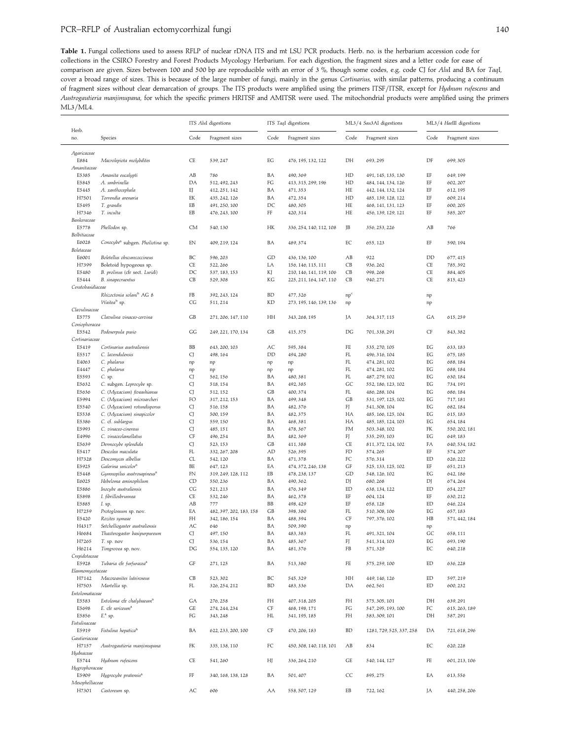**Table 1.** Fungal collections used to assess RFLP of nuclear rDNA ITS and mt LSU PCR products. Herb. no. is the herbarium accession code for collections in the CSIRO Forestry and Forest Products Mycology Herbarium. For each digestion, the fragment sizes and a letter code for ease of comparison are given. Sizes between 100 and 500 bp are reproducible with an error of 3 %, though some codes, e.g. code CJ for *Alu*I and BA for *Taq*I, cover a broad range of sizes. This is because of the large number of fungi, mainly in the genus *Cortinarius*, with similar patterns, producing a continuum of fragment sizes without clear demarcation of groups. The ITS products were amplified using the primers ITSF}ITSR, except for *Hydnum rufescens* and *Austrogautieria manjimupana*, for which the specific primers HRITSF and AMITSR were used. The mitochondrial products were amplified using the primers ML3/ML4.

|                                                                                                                  |                                                  | ITS AluI digestions |                         | ITS TaqI digestions    |                         | ML3/4 Sau3AI digestions |                          | ML3/4 HaellI digestions    |                |
|------------------------------------------------------------------------------------------------------------------|--------------------------------------------------|---------------------|-------------------------|------------------------|-------------------------|-------------------------|--------------------------|----------------------------|----------------|
| Herb.<br>no.                                                                                                     | Species                                          | Code                | Fragment sizes          | Code                   | Fragment sizes          | Code                    | Fragment sizes           | Code                       | Fragment sizes |
| Agaricaceae                                                                                                      |                                                  |                     |                         |                        |                         |                         |                          |                            |                |
| E884<br>Amanitaceae                                                                                              | Macrolepiota molybdites                          | CE                  | 539, 247                | EG                     | 476, 195, 132, 122      | DH                      | 693, 295                 | DF                         | 699, 305       |
| E5385                                                                                                            | Amanita eucalypti                                | AВ                  | 786                     | ΒA                     | 490, 369                | HD                      | 491, 145, 135, 130       | EF                         | 649, 199       |
| E5845                                                                                                            | A. umbrinella                                    | DA                  | 512, 492, 243           | FG                     | 413, 315, 299, 196      | HD                      | 484, 144, 134, 126       | EF                         | 602, 207       |
| E5445                                                                                                            | A. xanthocephala                                 | EJ                  | 412, 251, 142           | BA                     | 471, 353                | HE                      | 442, 144, 132, 124       | EF                         | 612, 195       |
| H7501                                                                                                            | Torrendia arenaria                               | EK                  | 435, 242, 126           | ΒA                     | 472, 354                | HD                      | 485, 139, 128, 122       | EF                         | 609, 214       |
| E5495                                                                                                            | T. grandis                                       | EB                  | 491, 250, 100           | DC                     | 480, 305                | HE                      | 468, 141, 131, 123       | EF                         | 600, 205       |
| H7346                                                                                                            | T. inculta                                       | EB                  | 476, 243, 100           | FF                     | 420, 314                | HE                      | 456, 139, 129, 121       | EF                         | 585, 207       |
| Bankeraceae                                                                                                      |                                                  |                     |                         |                        |                         |                         |                          |                            |                |
| E5778                                                                                                            | Phellodon sp.                                    | CM                  | 540, 130                | НK                     | 336, 254, 140, 112, 108 | JB                      | 356, 253, 226            | AB                         | 766            |
| Bolbitiaceae<br>E6028                                                                                            |                                                  | EN                  |                         | ΒA                     | 489, 374                | EC                      |                          | EF                         |                |
| Boletaceae                                                                                                       | Conocybe <sup>a</sup> subgen. Pholiotina sp.     |                     | 409, 219, 124           |                        |                         |                         | 655, 123                 |                            | 590, 194       |
| E6001                                                                                                            | Boletellus obscurecoccineus                      | ВC                  | 596, 203                | $\mathop{\mathrm{GD}}$ | 436, 136, 100           | AB                      | 922                      | DD                         | 677, 415       |
| H7399                                                                                                            | Boletoid hypogeous sp.                           | CE                  | 522, 266                | LA                     | 156, 146, 115, 111      | CB                      | 936, 262                 | CE                         | 785, 392       |
| E5480                                                                                                            | B. prolinus (cfr sect. Luridi)                   | DC                  | 537, 183, 153           | KJ                     | 210, 146, 141, 119, 106 | CB                      | 998, 268                 | CE                         | 884, 405       |
| E5444                                                                                                            | B. sinapecruentus                                | CB                  | 529,308                 | КG                     | 225, 211, 164, 147, 110 | CB                      | 940, 271                 | CE                         | 815, 423       |
| Ceratobasidiaceae                                                                                                |                                                  |                     |                         |                        |                         |                         |                          |                            |                |
|                                                                                                                  | Rhizoctonia solani <sup>b</sup> AG 8             | FB                  | 392, 243, 124           | BD                     | 477, 326                | $np^e$                  |                          | np                         |                |
|                                                                                                                  | Waitea <sup>b</sup> sp.                          | CG                  | 511, 214                | KD                     | 273, 195, 146, 139, 136 | np                      |                          | np                         |                |
| Clavulinaceae                                                                                                    |                                                  |                     |                         |                        |                         |                         |                          |                            |                |
| E5775                                                                                                            | Clavulina vinaceo-cervina                        | GB                  | 271, 206, 147, 110      | HH                     | 343, 268, 195           | JA                      | 364, 317, 115            | GА                         | 615, 259       |
| Coniophoracea                                                                                                    |                                                  |                     |                         |                        |                         |                         |                          |                            |                |
| E5542                                                                                                            | Podoserpula pusio                                | GG                  | 249, 221, 170, 134      | GB                     | 415, 375                | $_{\rm DG}$             | 701, 338, 291            | CF                         | 843, 382       |
| Cortinariaceae                                                                                                   |                                                  |                     |                         |                        |                         |                         |                          |                            |                |
| E5419                                                                                                            | Cortinarius australiensis                        | BB                  | 643, 200, 103           | AC                     | 595, 384                | FE                      | 535, 270, 105            | ЕG                         | 633, 183       |
| E5517                                                                                                            | C. lavendulensis                                 | CJ                  | 498, 164                | DD                     | 494, 280                | FL                      | 496, 316, 104            | EG                         | 675, 185       |
| E4063                                                                                                            | C. phalarus                                      | np                  | np                      | np                     | np                      | FL                      | 474, 281, 102            | EG                         | 688, 184       |
| E4447                                                                                                            | C. phalarus                                      | np                  | np                      | np                     | np                      | FL                      | 474, 281, 102            | EG                         | 688, 184       |
| E5593                                                                                                            | C. sp.                                           | CJ                  | 562, 156                | ΒA                     | 480, 381                | FL                      | 487, 279, 102            | EG                         | 630, 184       |
| E5632                                                                                                            | C. subgen. Leprocybe sp.                         | CJ                  | 518, 154                | ΒA                     | 492, 385                | GC                      | 552, 186, 123, 102       | EG                         | 734, 191       |
| E5636                                                                                                            | C. (Myxacium) fiveashianus                       | CJ                  | 512, 152                | GB                     | 400, 374                | FL                      | 486, 288, 104            | EG                         | 686, 184       |
| E5994                                                                                                            | C. (Myxacium) microarcheri                       | FO                  | 317, 212, 153           | ΒA                     | 499, 348                | GB                      | 531, 197, 125, 102       | EG                         | 717, 181       |
| E5540                                                                                                            | C. (Myxacium) rotundisporus                      | CJ                  | 516, 158                | BA                     | 482, 376                | FJ                      | 541, 308, 104            | EG                         | 682, 184       |
| E5538                                                                                                            | C. (Myxacium) sinapicolor                        | CJ                  | 500, 159                | BA                     | 482, 375                | HA                      | 485, 166, 125, 104       | EG                         | 615, 183       |
| E5386                                                                                                            | C. cf. sublargus                                 | CJ                  | 559, 150                | BA                     | 468, 381                | HA                      | 485, 185, 124, 103       | $\operatorname{EG}$        | 654, 184       |
| E5993                                                                                                            | C. vinaceo-cinereus                              | CJ                  | 485, 151                | ΒA                     | 478, 367                | FM                      | 503, 348, 102            | FK                         | 550, 202, 181  |
| E4996                                                                                                            | C. vinaceolamellatus                             | CF                  | 496, 254                | BA                     | 482, 369                | FJ                      | 535, 293, 103            | $\operatorname{EG}$        | 649, 183       |
| E5639                                                                                                            | Dermocybe splendida                              | CJ                  | 523, 153                | GB                     | 411,388                 | $\mathsf{CE}$           | 811, 372, 124, 102       | FA                         | 640, 534, 182  |
| E5417                                                                                                            | Descolea maculata                                | FL                  | 332, 267, 208           | AD                     | 526, 395                | FD                      | 574, 265                 | EF                         | 574, 207       |
| H7328                                                                                                            | Descomyces albellus                              | CL                  | 542, 120                | BA                     | 471,378                 | FC                      | 576, 314                 | ED                         | 626, 222       |
| E5925                                                                                                            | Galerina unicolor <sup>a</sup>                   | BE                  | 647, 123                | EA                     | 474, 372, 246, 138      | GF                      | 525, 133, 125, 102       | EF                         | 651, 213       |
| E5448                                                                                                            | Gymnopilus austrosapineus <sup>a</sup>           | FN                  | 319, 249, 128, 112      | EB                     | 478, 238, 137           | GD                      | 548, 126, 102            | EG                         | 642, 186       |
| E6025                                                                                                            | Hebeloma aminophilum                             | CD                  | 550, 236                | BA                     | 490, 362                | DJ                      | 680, 268                 | DJ                         | 674, 264       |
| E5886                                                                                                            | Inocybe australiensis                            | CG                  | 521, 213                | BA                     | 476, 349                | ED                      | 638, 134, 122            | ED                         | 654, 227       |
| E5898                                                                                                            | I. fibrillosbrunnea                              | CE                  | 532, 246                | BA                     | 462, 378                | EF                      | 604, 124                 | EF                         | 630, 212       |
| E5885                                                                                                            | I. sp.                                           | AB                  | 777                     | BB                     | 498, 429                | EF                      | 658, 128                 | ED                         | 646, 224       |
| H7259<br>E5420                                                                                                   | Protoglossum sp. nov.                            | EA<br>FH            | 482, 397, 202, 183, 158 | GB<br>BA               | 398,380                 | FL<br>CF                | 510, 308, 106            | $\operatorname{EG}$        | 657, 183       |
| H4317                                                                                                            | Rozites symeae<br>Setchelliogaster australiensis | AC                  | 342, 186, 154<br>646    | BA                     | 488, 394<br>509,390     |                         | 797, 376, 102            | HB                         | 571, 442, 184  |
| H6684                                                                                                            | Thaxterogaster basipurpureum                     | CJ                  | 497, 150                | ΒA                     | 483, 383                | np<br>FL                | 491, 321, 104            | np<br>GC                   | 658, 111       |
| H7265                                                                                                            | T. sp. nov                                       | CJ                  | 536, 154                | ΒA                     | 485, 367                | FJ                      | 541, 314, 103            | EG                         | 693, 190       |
| H6214                                                                                                            | Timgrovea sp. nov.                               | DG                  | 554, 135, 120           | BA                     | 481, 376                | FB                      | 571,329                  | ЕC                         | 640, 218       |
| Crepidotaceae                                                                                                    |                                                  |                     |                         |                        |                         |                         |                          |                            |                |
| E5928                                                                                                            | Tubaria cfr furfuracea <sup>a</sup>              | $\operatorname{GF}$ | 271, 125                | ΒA                     | 513,380                 | FE                      | 575, 259, 100            | $\mathop{\rm ED}\nolimits$ | 636, 228       |
| Elasmomycetaceae                                                                                                 |                                                  |                     |                         |                        |                         |                         |                          |                            |                |
| H7142                                                                                                            | Macowanites luteiroseus                          | CB                  | 523, 302                | ВC                     | 545, 329                | HH                      | 449, 146, 126            | $\mathop{\rm ED}\nolimits$ | 597, 219       |
| H7503                                                                                                            | Martellia sp.                                    | FL                  | 326, 254, 212           | BD                     | 483, 336                | DA                      | 662,561                  | ED                         | 600, 232       |
| Entolomataceae                                                                                                   |                                                  |                     |                         |                        |                         |                         |                          |                            |                |
| E5583                                                                                                            | Entoloma cfr chalybaeum <sup>a</sup>             | GА                  | 276, 258                | FH                     | 407, 318, 205           | FH                      | 575, 305, 101            | DH                         | 639, 291       |
| E5698                                                                                                            | E. cfr sericeum <sup>a</sup>                     | GE                  | 274, 244, 234           | CF                     | 468, 198, 171           | FG                      | 547, 295, 193, 100       | FC                         | 615, 263, 189  |
| E5856                                                                                                            | $E^a$ sp.                                        | FG                  | 343, 248                | HL                     | 341, 195, 185           | FH                      | 583, 309, 101            | DH                         | 587, 291       |
| Fistulinaceae                                                                                                    |                                                  |                     |                         |                        |                         |                         |                          |                            |                |
| E5919                                                                                                            | Fistulina hepatica <sup>b</sup>                  | ΒA                  | 622, 233, 200, 100      | CF                     | 470, 206, 183           | <b>BD</b>               | 1281, 729, 525, 337, 258 | DA                         | 721, 618, 296  |
| Gautieriaceae                                                                                                    |                                                  |                     |                         |                        |                         |                         |                          |                            |                |
| H7157                                                                                                            | Austrogautieria manjimupana                      | FK                  | 335, 138, 110           | FC                     | 450, 308, 140, 118, 101 | AB                      | 834                      | ЕC                         | 620, 228       |
| Hydnaceae                                                                                                        |                                                  |                     |                         |                        |                         |                         |                          |                            |                |
| E5744<br>Hydnum rufescens<br>CE<br>541, 260<br>HJ<br>GE<br>FE<br>601, 213, 106<br>336, 264, 210<br>540, 144, 127 |                                                  |                     |                         |                        |                         |                         |                          |                            |                |
| Hygrophoraceae                                                                                                   |                                                  |                     |                         |                        |                         |                         |                          |                            |                |
| E5909                                                                                                            | Hygrocybe pratensis <sup>a</sup>                 | FF                  | 340, 168, 138, 128      | ΒA                     | 501, 407                | CC                      | 895, 275                 | ΕA                         | 613,556        |
| Mesophelliaceae                                                                                                  |                                                  |                     |                         |                        |                         |                         |                          |                            |                |
| H7301                                                                                                            | Castoreum sp.                                    | AC                  | 606                     | AA                     | 558, 507, 129           | EB                      | 722, 162                 | JA                         | 440, 258, 206  |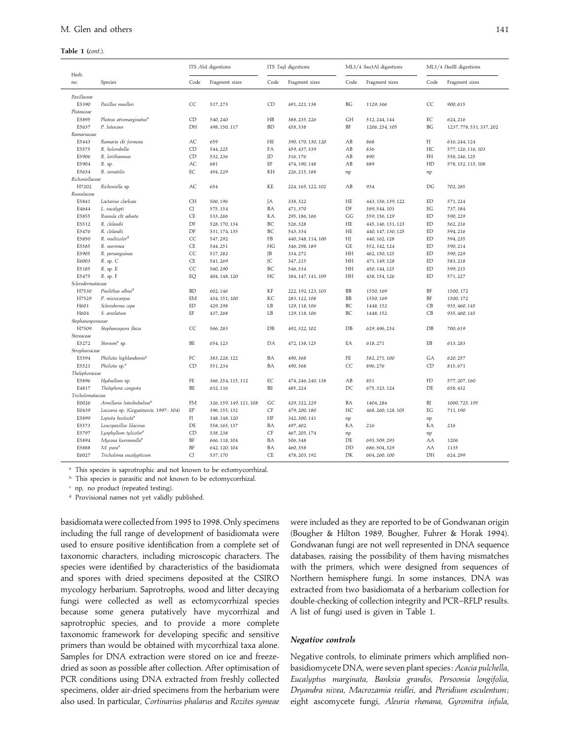#### **Table 1 (***cont*.).

| Herb.             |                                       |                                          | ITS AluI digestions     |           | ITS TaqI digestions |          | ML3/4 Sau3AI digestions |                            | ML3/4 HaellI digestions  |
|-------------------|---------------------------------------|------------------------------------------|-------------------------|-----------|---------------------|----------|-------------------------|----------------------------|--------------------------|
| no.               | Species                               | Code                                     | Fragment sizes          | Code      | Fragment sizes      | Code     | Fragment sizes          | Code                       | Fragment sizes           |
| Paxillaceae       |                                       |                                          |                         |           |                     |          |                         |                            |                          |
| E5390             | Paxillus muelleri                     | CC                                       | 517, 273                | CD        | 491, 221, 138       | BG       | 1129, 366               | CC                         | 900, 615                 |
| Pluteaceae        |                                       |                                          |                         |           |                     |          |                         |                            |                          |
| E5895             | Pluteus atromarginatus <sup>a</sup>   | ${\rm CD}$                               | 540, 240                | HB        | 388, 235, 226       | GH       | 512, 244, 144           | $\mathop{\rm EC}\nolimits$ | 624, 216                 |
| E5637             | P. lutescens                          | DH                                       | 498, 150, 117           | <b>BD</b> | 458,338             | BF       | 1206, 254, 105          | BG                         | 1237, 778, 531, 337, 202 |
| Ramariaceae       |                                       |                                          |                         |           |                     |          |                         |                            |                          |
| E5443             | Ramaria cfr formosa                   | AC                                       | 659                     | HE        | 390, 170, 130, 120  | AB       | 868                     | FJ                         | 616, 244, 124            |
| E5575             | R. holorubella                        | CD                                       | 544, 225                | FA        | 459, 437, 339       | AB       | 836                     | HC                         | 577, 126, 116, 103       |
| E5906             | R. lorithamnus                        | CD                                       | 532, 236                | JD        | 316, 176            | AB       | 890                     | FH                         | 558, 246, 125            |
| E5904             | R. sp.                                | AC                                       | 681                     | EF        | 474, 190, 148       | AB       | 889                     | HD                         | 578, 152, 115, 108       |
| E5634             | R. versatilis                         | $\mathop{\rm EC}\nolimits$               | 494, 229                | KH        | 226, 215, 188       | np       |                         | np                         |                          |
| Richoniellaceae   |                                       |                                          |                         |           |                     |          |                         |                            |                          |
| H7202             | Richoniella sp.                       | AC                                       | 654                     | KE        | 224, 165, 122, 102  | AB       | 934                     | $\mathbb{D}\mathbb{G}$     | 702, 285                 |
| Russulaceae       |                                       |                                          |                         |           |                     |          |                         |                            |                          |
| E5841             | Lactarius clarkeae                    | <b>CH</b>                                | 506, 196                | JА        | 338, 322            | HE       | 443, 156, 139, 122      | ED                         | 571, 224                 |
| E4644             | L. eucalypti                          | CJ                                       | 575, 154                | ΒA        | 471,370             | DF       | 589, 544, 103           | EG                         | 737, 184                 |
| E5855             | Russula cfr adusta                    | <b>CE</b>                                | 533, 266                | KA        | 295, 186, 166       | GG       | 559, 156, 129           | ED                         | 590, 229                 |
| E5512             | R. clelandii                          | $\mathop{\rm DF}\nolimits$               | 528, 170, 134           | BC        | 526, 328            | HE       | 445, 146, 131, 123      | $\mathop{\rm ED}\nolimits$ | 562, 216                 |
| E5476             | R. clelandii                          | $\mathop{\rm DF}\nolimits$               | 531, 174, 135           | BC        | 543, 334            | HE       | 440, 147, 130, 125      | ED                         | 594, 216                 |
| E5850             | R. multicolor <sup>d</sup>            | CC                                       | 547, 292                | FB        | 440, 348, 114, 100  | HJ       | 440, 162, 128           | ED                         | 594, 235                 |
| E5585             | R. neerimea                           | CE                                       | 544, 251                | HG        | 346, 298, 189       | GE       | 552, 142, 124           | ED                         | 590, 214                 |
| E5905             | R. persanguinea                       | CC                                       | 517, 282                | JB        | 334, 272            | HH       | 462, 150, 125           | ED                         | 590, 229                 |
| E6003             | R. sp. C                              | <b>CE</b>                                | 541, 269                | JC        | 347, 215            | HH       | 471, 149, 128           | $\mathop{\rm ED}\nolimits$ | 583, 218                 |
| E5185             | R. sp. E                              | CC                                       | 560, 290                | BC        | 546, 334            | HH       | 450, 144, 125           | ED                         | 599, 215                 |
| E5475             | R. sp. F                              | EQ                                       | 404, 148, 120           | HC        | 384, 147, 141, 109  | HH       | 438, 154, 126           | ED                         | 571, 227                 |
| Sclerodermataceae |                                       |                                          |                         |           |                     |          |                         |                            |                          |
| H7530             | Pisolithus albus <sup>d</sup>         | <b>BD</b>                                | 602, 146                | KF        | 222, 192, 123, 103  | BB       | 1550, 169               | BF                         | 1500, 172                |
| H7529             | P. microcarpus                        | EM                                       | 434, 151, 100           | KC        | 283, 122, 108       | BB       | 1550, 169               | BF                         | 1500, 172                |
| H601              | Scleroderma cepa                      | ED                                       | 429, 298                | LB        | 129, 118, 106       | BC       | 1448, 152               | CB                         | 935, 460, 145            |
| H604              | S. areolatum                          | EF                                       | 437, 268                | LB        | 129, 118, 106       | BC       | 1448, 152               | CB                         | 935, 460, 145            |
| Stephanosporaceae |                                       |                                          |                         |           |                     |          |                         |                            |                          |
| H7509             | Stephanospora flava                   | CC                                       | 566, 283                | DB        | 492, 322, 102       | DB       | 629, 496, 234           | DB                         | 700,619                  |
| Stereaceae        |                                       |                                          |                         |           |                     |          |                         |                            |                          |
| E5272             | Stereum <sup>a</sup> sp.              | BE                                       | 654, 123                | DA        | 472, 138, 125       | EA       | 618, 271                | EB                         | 613, 283                 |
| Strophariaceae    |                                       |                                          |                         |           |                     |          |                         |                            |                          |
| E5594             | Pholiota highlandensis <sup>a</sup>   | FC                                       | 383, 228, 122           | ΒA        | 490, 368            | FE       | 582, 271, 100           | GA                         | 620, 257                 |
| E5521             | Pholiota sp. <sup>a</sup>             | CD                                       | 551,234                 | ΒA        | 490, 368            | CC       | 896, 276                | CD                         | 815,671                  |
| Thelephoraceae    |                                       |                                          |                         |           |                     |          |                         |                            |                          |
| E5896             | Hydnellum sp.                         | $\ensuremath{\mathop{\text{FE}}}\xspace$ | 366, 254, 115, 112      | EC        | 474, 246, 240, 138  | AB       | 851                     | FD                         | 577, 207, 160            |
| E4817             | Thelephora congesta                   | BE                                       | 632, 116                | BE        | 485, 224            | DC       | 675, 323, 124           | DE                         | 658, 432                 |
| Tricholomataceae  |                                       |                                          |                         |           |                     |          |                         |                            |                          |
| E0026             | Armillaria luteobubalina <sup>b</sup> | <b>FM</b>                                | 326, 159, 149, 121, 108 | GC        | 429, 322, 229       | BA       | 1404, 284               | ВJ                         | 1000, 725, 195           |
| E0439             | Laccaria sp. (Grgurinovic 1997: 304)  | EP                                       | 396, 155, 132           | CF        | 479, 200, 180       | HC       | 468, 260, 128, 105      | EG                         | 711, 190                 |
| E5899             | Lepiota booloola <sup>a</sup>         | F                                        | 348, 148, 120           | HF        | 342, 300, 141       | np       |                         | np                         |                          |
| E5573             | Leucopaxillus lilacinus               | DE                                       | 558, 165, 137           | BA        | 497, 402            | KA       | 216                     | KA                         | 216                      |
| E5797             | Lyophyllum tylicolor <sup>a</sup>     | CD                                       | 538, 238                | CF        | 467, 205, 174       | np       |                         | np                         |                          |
| E5894             | Mycena kurramulla <sup>a</sup>        | BF                                       | 666, 118, 104           | BA        | 506, 348            | $\rm DE$ | 693, 509, 293           | AA                         | 1206                     |
| E5888             | M. pura <sup>a</sup>                  | BF                                       | 642, 120, 104           | ΒA        | 460, 358            | DD       | 686, 504, 329           | AA                         | 1135                     |
| E6027             | Tricholoma eucalypticum               | CJ                                       | 537, 170                | CE        | 478, 203, 192       | DK       | 604, 260, 100           | DH                         | 624, 299                 |

<sup>a</sup> This species is saprotrophic and not known to be ectomycorrhizal.

<sup>b</sup> This species is parasitic and not known to be ectomycorrhizal.

<sup>e</sup> np, no product (repeated testing).

<sup>d</sup> Provisional names not yet validly published.

basidiomata were collected from 1995 to 1998. Only specimens including the full range of development of basidiomata were used to ensure positive identification from a complete set of taxonomic characters, including microscopic characters. The species were identified by characteristics of the basidiomata and spores with dried specimens deposited at the CSIRO mycology herbarium. Saprotrophs, wood and litter decaying fungi were collected as well as ectomycorrhizal species because some genera putatively have mycorrhizal and saprotrophic species, and to provide a more complete taxonomic framework for developing specific and sensitive primers than would be obtained with mycorrhizal taxa alone. Samples for DNA extraction were stored on ice and freezedried as soon as possible after collection. After optimisation of PCR conditions using DNA extracted from freshly collected specimens, older air-dried specimens from the herbarium were also used. In particular, *Cortinarius phalarus* and *Rozites symeae*

were included as they are reported to be of Gondwanan origin (Bougher & Hilton 1989, Bougher, Fuhrer & Horak 1994). Gondwanan fungi are not well represented in DNA sequence databases, raising the possibility of them having mismatches with the primers, which were designed from sequences of Northern hemisphere fungi. In some instances, DNA was extracted from two basidiomata of a herbarium collection for double-checking of collection integrity and PCR–RFLP results. A list of fungi used is given in Table 1.

#### *Negative controls*

Negative controls, to eliminate primers which amplified nonbasidiomycete DNA, were seven plant species : *Acacia pulchella*, *Eucalyptus marginata*, *Banksia grandis*, *Persoonia longifolia*, *Dryandra nivea*, *Macrozamia reidlei*, and *Pteridium esculentum*; eight ascomycete fungi, *Aleuria rhenana*, *Gyromitra infula*,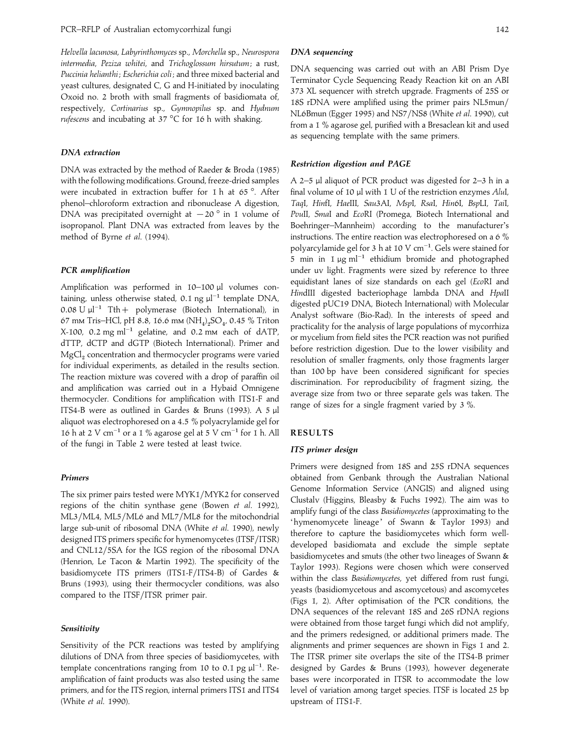*Helvella lacunosa*, *Labyrinthomyces* sp., *Morchella* sp., *Neurospora intermedia*, *Peziza whitei*, and *Trichoglossum hirsutum*; a rust, *Puccinia helianthi*; *Escherichia coli*; and three mixed bacterial and yeast cultures, designated C, G and H-initiated by inoculating Oxoid no. 2 broth with small fragments of basidiomata of, respectively, *Cortinarius* sp., *Gymnopilus* sp. and *Hydnum rufescens* and incubating at 37 °C for 16 h with shaking.

## *DNA extraction*

DNA was extracted by the method of Raeder & Broda (1985) with the following modifications. Ground, freeze-dried samples were incubated in extraction buffer for 1 h at 65 °. After phenol–chloroform extraction and ribonuclease A digestion, DNA was precipitated overnight at  $-20$ <sup>o</sup> in 1 volume of isopropanol. Plant DNA was extracted from leaves by the method of Byrne *et al*. (1994).

## *PCR amplification*

Amplification was performed in 10–100 µl volumes containing, unless otherwise stated, 0.1 ng  $\mu$ <sup>-1</sup> template DNA, 0.08 U µl<sup>-1</sup> Tth + polymerase (Biotech International), in 67 mм Tris–HCl, pH 8.8, 16.6 mм (NH<sub>4</sub>)<sub>2</sub>SO<sub>4</sub>, 0.45 % Triton  $\alpha$ / mm 1 ms–rici, pri 8.8, 10.0 mm ( $\alpha$ <sub>1</sub>,  $\beta$ O<sub>4</sub>, 0.43 % 1 nton<br>X-100, 0.2 mg ml<sup>−1</sup> gelatine, and 0.2 mm each of dATP, dTTP, dCTP and dGTP (Biotech International). Primer and  $\text{MgCl}_2$  concentration and thermocycler programs were varied for individual experiments, as detailed in the results section. The reaction mixture was covered with a drop of paraffin oil and amplification was carried out in a Hybaid Omnigene thermocycler. Conditions for amplification with ITS1-F and ITS4-B were as outlined in Gardes & Bruns (1993). A 5 µl aliquot was electrophoresed on a 4.5 % polyacrylamide gel for 16 h at 2 V cm<sup>-1</sup> or a 1 % agarose gel at 5 V cm<sup>-1</sup> for 1 h. All of the fungi in Table 2 were tested at least twice.

## *Primers*

The six primer pairs tested were MYK1/MYK2 for conserved regions of the chitin synthase gene (Bowen *et al*. 1992), ML3/ML4, ML5/ML6 and ML7/ML8 for the mitochondrial large sub-unit of ribosomal DNA (White *et al*. 1990), newly designed ITS primers specific for hymenomycetes (ITSF/ITSR) and CNL12/5SA for the IGS region of the ribosomal DNA (Henrion, Le Tacon & Martin 1992). The specificity of the basidiomycete ITS primers (ITS1-F/ITS4-B) of Gardes & Bruns (1993), using their thermocycler conditions, was also compared to the ITSF/ITSR primer pair.

## *Sensitivity*

Sensitivity of the PCR reactions was tested by amplifying dilutions of DNA from three species of basidiomycetes, with template concentrations ranging from 10 to 0.1 pg  $\mu$ <sup>-1</sup>. Reamplification of faint products was also tested using the same primers, and for the ITS region, internal primers ITS1 and ITS4 (White *et al*. 1990).

## *DNA sequencing*

DNA sequencing was carried out with an ABI Prism Dye Terminator Cycle Sequencing Ready Reaction kit on an ABI 373 XL sequencer with stretch upgrade. Fragments of 25S or 18S rDNA were amplified using the primer pairs NL5mun} NL6Bmun (Egger 1995) and NS7/NS8 (White *et al.* 1990), cut from a 1 % agarose gel, purified with a Bresaclean kit and used as sequencing template with the same primers.

## *Restriction digestion and PAGE*

A 2–5 µl aliquot of PCR product was digested for 2–3 h in a final volume of 10 µl with 1 U of the restriction enzymes *Alu*I, *Taq*I, *Hin*fI, *Hae*III, *Sau*3AI, *Msp*I, *Rsa*I, *Hin*6I, *Bsp*LI, *Tai*I, *Pvu*II, *Sma*I and *Eco*RI (Promega, Biotech International and Boehringer–Mannheim) according to the manufacturer's instructions. The entire reaction was electrophoresed on a 6 % polyarcylamide gel for 3 h at 10 V cm<sup>-1</sup>. Gels were stained for 5 min in 1 <sup>µ</sup>g ml−" ethidium bromide and photographed under uv light. Fragments were sized by reference to three equidistant lanes of size standards on each gel (*Eco*RI and *Hin*dIII digested bacteriophage lambda DNA and *Hpa*II digested pUC19 DNA, Biotech International) with Molecular Analyst software (Bio-Rad). In the interests of speed and practicality for the analysis of large populations of mycorrhiza or mycelium from field sites the PCR reaction was not purified before restriction digestion. Due to the lower visibility and resolution of smaller fragments, only those fragments larger than 100 bp have been considered significant for species discrimination. For reproducibility of fragment sizing, the average size from two or three separate gels was taken. The range of sizes for a single fragment varied by 3 %.

## **RESULTS**

## *ITS primer design*

Primers were designed from 18S and 25S rDNA sequences obtained from Genbank through the Australian National Genome Information Service (ANGIS) and aligned using Clustalv (Higgins, Bleasby & Fuchs 1992). The aim was to amplify fungi of the class *Basidiomycetes* (approximating to the 'hymenomycete lineage' of Swann & Taylor 1993) and therefore to capture the basidiomycetes which form welldeveloped basidiomata and exclude the simple septate basidiomycetes and smuts (the other two lineages of Swann & Taylor 1993). Regions were chosen which were conserved within the class *Basidiomycetes*, yet differed from rust fungi, yeasts (basidiomycetous and ascomycetous) and ascomycetes (Figs 1, 2). After optimisation of the PCR conditions, the DNA sequences of the relevant 18S and 26S rDNA regions were obtained from those target fungi which did not amplify, and the primers redesigned, or additional primers made. The alignments and primer sequences are shown in Figs 1 and 2. The ITSR primer site overlaps the site of the ITS4-B primer designed by Gardes & Bruns (1993), however degenerate bases were incorporated in ITSR to accommodate the low level of variation among target species. ITSF is located 25 bp upstream of ITS1-F.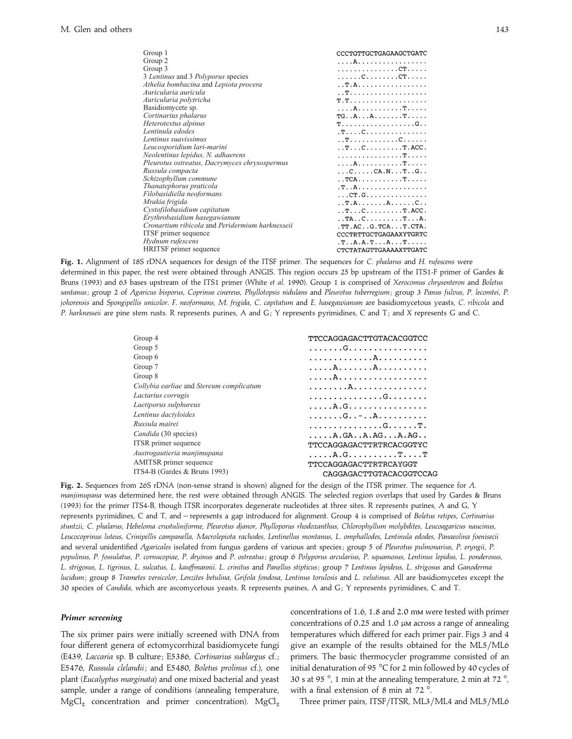| Group 1                                         | CCCTGTTGCTGAGAAGCTGATC                                                         |
|-------------------------------------------------|--------------------------------------------------------------------------------|
| Group 2                                         |                                                                                |
|                                                 |                                                                                |
| Group 3                                         |                                                                                |
| 3 Lentinus and 3 Polyporus species              |                                                                                |
| Athelia bombacina and Lepiota procera           |                                                                                |
| Auricularia auricula                            |                                                                                |
| Auricularia polytricha                          |                                                                                |
| Basidiomycete sp.                               |                                                                                |
| Cortinarius phalarus                            | $TG \ldots A \ldots A \ldots \ldots \ldots T \ldots$                           |
| Heterotextus alpinus                            |                                                                                |
| Lentinula edodes                                |                                                                                |
| Lentinus suavissimus                            |                                                                                |
| Leucosporidium lari-marini                      | $\ldots$ T $\ldots$ C $\ldots$ $\ldots$ $\ldots$ . T $\ldots$ ACC $\ldots$     |
| Neolentinus lepidus, N. adhaerens               | . T.                                                                           |
| Pleurotus ostreatus, Dacrymyces chrysospermus   |                                                                                |
| Russula compacta                                | $\ldots$ C $\ldots$ $\ldots$ CA $\ldots$ N $\ldots$ T $\ldots$ G $\ldots$      |
| Schizophyllum commune                           | $\ldots$ TCA $\ldots$ $\ldots$ $\ldots$ . $\ldots$ $\ldots$ .                  |
| Thanatephorus praticola                         |                                                                                |
| Filobasidiella neoformans                       | . CT . G                                                                       |
| Mrakia frigida                                  |                                                                                |
| Cystofilobasidium capitatum                     | $\ldots$ T $\ldots$ . $\ldots$ . $\ldots$ . $\ldots$ . $\ldots$ . ACC $\ldots$ |
| Erythrobasidium hasegawianum                    | . . TA C T A .                                                                 |
| Cronartium ribicola and Peridermium harknesseii | TT.AC. G.TCA. T.CTA.                                                           |
| <b>ITSF</b> primer sequence                     | CCCTRTTGCTGAGAAXYTGRTC                                                         |
| Hydnum rufescens                                |                                                                                |
|                                                 | ,T. A.A.T. A. T.                                                               |
| HRITSF primer sequence                          | CTCTATAGTTGAAAAXTTGATC                                                         |

**Fig. 1.** Alignment of 18S rDNA sequences for design of the ITSF primer. The sequences for *C*. *phalarus* and *H*. *rufescens* were determined in this paper, the rest were obtained through ANGIS. This region occurs 25 bp upstream of the ITS1-F primer of Gardes & Bruns (1993) and 63 bases upstream of the ITS1 primer (White *et al*. 1990). Group 1 is comprised of *Xerocomus chrysenteron* and *Boletus santanus*; group 2 of *Agaricus bisporus*, *Coprinus cinereus*, *Phyllotopsis nidulans* and *Pleurotus tuberregium*; group 3 *Panus fulvus*, *P*. *lecomtei*, *P*. johorensis and Spongipellis unicolor. F. neoformans, M. frigida, C. capitatum and E. hasegawianum are basidiomycetous yeasts, C. ribicola and *P. harknesseii* are pine stem rusts. R represents purines, A and G; Y represents pyrimidines, C and T; and X represents G and C.

| Group 4                                  | TTCCAGGAGACTTGTACACGGTCC                                            |
|------------------------------------------|---------------------------------------------------------------------|
| Group 5                                  |                                                                     |
| Group 6                                  |                                                                     |
| Group 7                                  |                                                                     |
| Group 8                                  |                                                                     |
| Collybia earliae and Stereum complicatum |                                                                     |
| Lactarius corrugis                       | . G.                                                                |
| Laetiporus sulphureus                    |                                                                     |
| Lentinus dactyloides                     | . G. . - A                                                          |
| Russula mairei                           | . G. T .                                                            |
| Candida (30 species)                     | $\ldots$ , $A$ , $GA$ , $A$ , $AG$ , $\ldots$ $A$ , $AG$ , $\ldots$ |
| ITSR primer sequence                     | TTCCAGGAGACTTRTRCACGGTYC                                            |
| Austrogautieria manjimupana              | $\ldots$ . A.G. $\ldots$ . T. T                                     |
| AMITSR primer sequence                   | TTCCAGGAGACTTRTRCAYGGT                                              |
| ITS4-B (Gardes & Bruns 1993)             | CAGGAGACTTGTACACGGTCCAG                                             |
|                                          |                                                                     |

**Fig. 2.** Sequences from 26S rDNA (non-sense strand is shown) aligned for the design of the ITSR primer. The sequence for *A*. *manjimupana* was determined here, the rest were obtained through ANGIS. The selected region overlaps that used by Gardes & Bruns (1993) for the primer ITS4-B, though ITSR incorporates degenerate nucleotides at three sites. R represents purines, A and G, Y represents pyrimidines, C and T, and – represents a gap introduced for alignment. Group 4 is comprised of *Boletus retipes*, *Cortinarius stuntzii*, *C*. *phalarus*, *Hebeloma crustuliniforme*, *Pleurotus djanor*, *Phylloporus rhodoxanthus*, *Chlorophyllum molybdites*, *Leucoagaricus naucinus*, *Leucocoprinus luteus*, *Crinipellis campanella*, *Macrolepiota rachodes*, *Lentinellus montanus*, *L*. *omphallodes*, *Lentinula edodes*, *Panaeolina foenisecii* and several unidentified *Agaricales* isolated from fungus gardens of various ant species ; group 5 of *Pleurotus pulmonarius*, *P*. *eryngii*, *P*. populinus, P. fossulatus, P. cornucopiae, P. dryinus and P. ostreatus; group 6 Polyporus arcularius, P. squamosus, Lentinus lepidus, L. ponderosus, L. strigosus, L. tigrinus, L. sulcatus, L. kauffmannii. L. crinitus and Panellus stipticus; group 7 Lentinus lepideus, L. strigosus and Ganoderma *lucidum*; group 8 *Trametes versicolor*, *Lenzites betulina*, *Grifola fondosa*, *Lentinus torulosis* and *L*. *velutinus*. All are basidiomycetes except the 30 species of *Candida*, which are ascomycetous yeasts. R represents purines, A and G ; Y represents pyrimidines, C and T.

## *Primer screening*

The six primer pairs were initially screened with DNA from four different genera of ectomycorrhizal basidiomycete fungi (E439, *Laccaria* sp. B culture ; E5386, *Cortinarius sublargus* cf. ; E5476, *Russula clelandii*; and E5480, *Boletus prolinus* cf.), one plant (*Eucalyptus marginata*) and one mixed bacterial and yeast sample, under a range of conditions (annealing temperature,  $MgCl<sub>2</sub>$  concentration and primer concentration).  $MgCl<sub>2</sub>$ 

concentrations of 1.6, 1.8 and 2.0 mm were tested with primer concentrations of 0.25 and 1.0  $\mu$ M across a range of annealing temperatures which differed for each primer pair. Figs 3 and 4 give an example of the results obtained for the ML5/ML6 primers. The basic thermocycler programme consisted of an initial denaturation of 95 °C for 2 min followed by 40 cycles of 30 s at 95 °, 1 min at the annealing temperature, 2 min at 72 °, with a final extension of 8 min at 72 °.

Three primer pairs, ITSF/ITSR, ML3/ML4 and ML5/ML6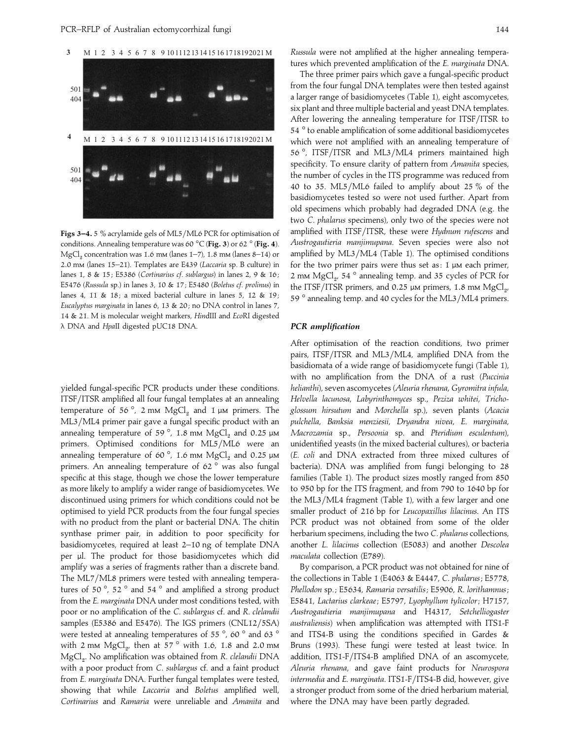

Figs 3-4. 5 % acrylamide gels of ML5/ML6 PCR for optimisation of conditions. Annealing temperature was 60 °C (**Fig. 3**) or 62 ° (**Fig. 4**).  $MgCl<sub>2</sub>$  concentration was 1.6 mm (lanes 1–7), 1.8 mm (lanes 8–14) or 2.0 mm (lanes 15–21). Templates are E439 (*Laccaria* sp. B culture) in lanes 1, 8 & 15 ; E5386 (*Cortinarius cf*. *sublargus*) in lanes 2, 9 & 16 ; E5476 (*Russula* sp.) in lanes 3, 10 & 17 ; E5480 (*Boletus cf*. *prolinus*) in lanes 4, 11 & 18; a mixed bacterial culture in lanes 5, 12 & 19; *Eucalyptus marginata* in lanes 6, 13 & 20 ; no DNA control in lanes 7, 14 & 21. M is molecular weight markers, *Hin*dIII and *Eco*RI digested λ DNA and *Hpa*II digested pUC18 DNA.

yielded fungal-specific PCR products under these conditions. ITSF/ITSR amplified all four fungal templates at an annealing temperature of 56 $^{\circ}$ , 2 mm  $MgCl<sub>2</sub>$  and 1 µm primers. The ML3/ML4 primer pair gave a fungal specific product with an annealing temperature of 59 $^{\circ}$ , 1.8 mm MgCl<sub>2</sub> and 0.25  $\mu$ m primers. Optimised conditions for ML5/ML6 were an annealing temperature of 60 $^{\circ}$ , 1.6 mm MgCl<sub>2</sub> and 0.25  $\mu$ m primers. An annealing temperature of 62 ° was also fungal specific at this stage, though we chose the lower temperature as more likely to amplify a wider range of basidiomycetes. We discontinued using primers for which conditions could not be optimised to yield PCR products from the four fungal species with no product from the plant or bacterial DNA. The chitin synthase primer pair, in addition to poor specificity for basidiomycetes, required at least 2–10 ng of template DNA per µl. The product for those basidiomycetes which did amplify was a series of fragments rather than a discrete band. The ML7/ML8 primers were tested with annealing temperatures of 50 $\degree$ , 52 $\degree$  and 54 $\degree$  and amplified a strong product from the *E*. *marginata* DNA under most conditions tested, with poor or no amplification of the *C*. *sublargus* cf. and *R*. *clelandii* samples (E5386 and E5476). The IGS primers  $(CNL12/5SA)$ were tested at annealing temperatures of 55 $\degree$ , 60 $\degree$  and 63 $\degree$ with 2 mm  $MgCl<sub>2</sub>$ , then at 57  $^{\circ}$  with 1.6, 1.8 and 2.0 mm MgCl#. No amplification was obtained from *R*. *clelandii* DNA with a poor product from *C*. *sublargus* cf. and a faint product from *E*. *marginata* DNA. Further fungal templates were tested, showing that while *Laccaria* and *Boletus* amplified well, *Cortinarius* and *Ramaria* were unreliable and *Amanita* and

*Russula* were not amplified at the higher annealing temperatures which prevented amplification of the *E*. *marginata* DNA.

The three primer pairs which gave a fungal-specific product from the four fungal DNA templates were then tested against a larger range of basidiomycetes (Table 1), eight ascomycetes, six plant and three multiple bacterial and yeast DNA templates. After lowering the annealing temperature for ITSF/ITSR to 54 ° to enable amplification of some additional basidiomycetes which were not amplified with an annealing temperature of 56°, ITSF/ITSR and ML3/ML4 primers maintained high specificity. To ensure clarity of pattern from *Amanita* species, the number of cycles in the ITS programme was reduced from 40 to 35. ML5}ML6 failed to amplify about 25 % of the basidiomycetes tested so were not used further. Apart from old specimens which probably had degraded DNA (e.g. the two *C*. *phalarus* specimens), only two of the species were not amplified with ITSF}ITSR, these were *Hydnum rufescens* and *Austrogautieria manjimupana*. Seven species were also not amplified by ML3/ML4 (Table 1). The optimised conditions for the two primer pairs were thus set as:  $1 \mu$ M each primer, 2 mm  $MgCl<sub>2</sub>$ , 54  $^{\circ}$  annealing temp. and 35 cycles of PCR for the ITSF/ITSR primers, and 0.25 µm primers, 1.8 mm  $\mathrm{MgCl}_{2}$ 59  $^{\circ}$  annealing temp. and 40 cycles for the ML3/ML4 primers. ,

### *PCR amplification*

After optimisation of the reaction conditions, two primer pairs, ITSF/ITSR and ML3/ML4, amplified DNA from the basidiomata of a wide range of basidiomycete fungi (Table 1), with no amplification from the DNA of a rust (*Puccinia helianthi*), seven ascomycetes (*Aleuria rhenana*, *Gyromitra infula*, *Helvella lacunosa*, *Labyrinthomyces* sp., *Peziza whitei*, *Trichoglossum hirsutum* and *Morchella* sp.), seven plants (*Acacia pulchella*, *Banksia menziesii*, *Dryandra nivea*, *E*. *marginata*, *Macrozamia* sp., *Persoonia* sp. and *Pteridium esculentum*), unidentified yeasts (in the mixed bacterial cultures), or bacteria (*E*. *coli* and DNA extracted from three mixed cultures of bacteria). DNA was amplified from fungi belonging to 28 families (Table 1). The product sizes mostly ranged from 850 to 950 bp for the ITS fragment, and from 790 to 1640 bp for the ML3/ML4 fragment (Table 1), with a few larger and one smaller product of 216 bp for *Leucopaxillus lilacinus*. An ITS PCR product was not obtained from some of the older herbarium specimens, including the two *C*. *phalarus* collections, another *L*. *lilacinus* collection (E5083) and another *Descolea maculata* collection (E789).

By comparison, a PCR product was not obtained for nine of the collections in Table 1 (E4063 & E4447, *C*. *phalarus*; E5778, *Phellodon* sp. ; E5634, *Ramaria versatilis*; E5906, *R*. *lorithamnus*; E5841, *Lactarius clarkeae*; E5797, *Lyophyllum tylicolor*; H7157, *Austrogautieria manjimupana* and H4317, *Setchelliogaster australiensis*) when amplification was attempted with ITS1-F and ITS4-B using the conditions specified in Gardes & Bruns (1993). These fungi were tested at least twice. In addition, ITS1-F/ITS4-B amplified DNA of an ascomycete, *Aleuria rhenana*, and gave faint products for *Neurospora intermedia* and *E*. *marginata*. ITS1-F}ITS4-B did, however, give a stronger product from some of the dried herbarium material, where the DNA may have been partly degraded.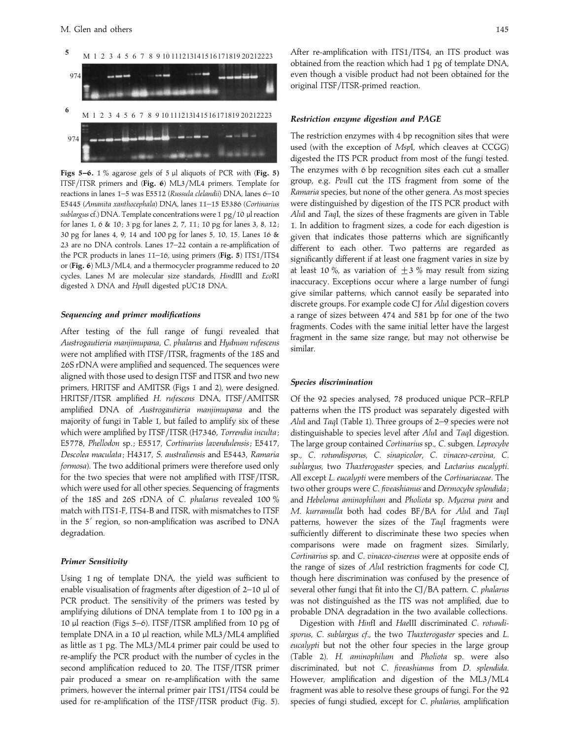

**Figs 5–6.** 1 % agarose gels of 5 µl aliquots of PCR with (**Fig. 5)** ITSF/ITSR primers and (Fig. 6) ML3/ML4 primers. Template for reactions in lanes 1–5 was E5512 (*Russula clelandii*) DNA, lanes 6–10 E5445 (*Amanita xanthocephala*) DNA, lanes 11–15 E5386 (*Cortinarius sublargus* cf.) DNA. Template concentrations were 1 pg/10 µl reaction for lanes 1, 6 & 10; 3 pg for lanes 2, 7, 11; 10 pg for lanes 3, 8, 12; 30 pg for lanes 4, 9, 14 and 100 pg for lanes 5, 10, 15. Lanes 16 & 23 are no DNA controls. Lanes 17–22 contain a re-amplification of the PCR products in lanes 11–16, using primers (**Fig. 5**) ITS1}ITS4 or (Fig. 6) ML3/ML4, and a thermocycler programme reduced to 20 cycles. Lanes M are molecular size standards, *Hin*dIII and *Eco*RI digested λ DNA and *Hpa*II digested pUC18 DNA.

## *Sequencing and primer modifications*

After testing of the full range of fungi revealed that *Austrogautieria manjimupana*, *C*. *phalarus* and *Hydnum rufescens* were not amplified with ITSF/ITSR, fragments of the 18S and 26S rDNA were amplified and sequenced. The sequences were aligned with those used to design ITSF and ITSR and two new primers, HRITSF and AMITSR (Figs 1 and 2), were designed. HRITSF}ITSR amplified *H*. *rufescens* DNA, ITSF}AMITSR amplified DNA of *Austrogautieria manjimupana* and the majority of fungi in Table 1, but failed to amplify six of these which were amplified by ITSF/ITSR (H7346, *Torrendia inculta* ; E5778, *Phellodon* sp. ; E5517, *Cortinarius lavendulensis*; E5417, *Descolea maculata* ; H4317, *S*. *australiensis* and E5443, *Ramaria formosa*). The two additional primers were therefore used only for the two species that were not amplified with ITSF/ITSR, which were used for all other species. Sequencing of fragments of the 18S and 26S rDNA of *C*. *phalarus* revealed 100 % match with ITS1-F, ITS4-B and ITSR, with mismatches to ITSF in the 5' region, so non-amplification was ascribed to DNA degradation.

## *Primer Sensitivity*

Using 1 ng of template DNA, the yield was sufficient to enable visualisation of fragments after digestion of 2-10 µl of PCR product. The sensitivity of the primers was tested by amplifying dilutions of DNA template from 1 to 100 pg in a 10 µl reaction (Figs 5–6). ITSF}ITSR amplified from 10 pg of template DNA in a 10 µl reaction, while ML3/ML4 amplified as little as 1 pg. The ML3/ML4 primer pair could be used to re-amplify the PCR product with the number of cycles in the second amplification reduced to 20. The ITSF/ITSR primer pair produced a smear on re-amplification with the same primers, however the internal primer pair ITS1/ITS4 could be used for re-amplification of the ITSF/ITSR product (Fig. 5).

After re-amplification with ITS1/ITS4, an ITS product was obtained from the reaction which had 1 pg of template DNA, even though a visible product had not been obtained for the original ITSF/ITSR-primed reaction.

#### *Restriction enzyme digestion and PAGE*

The restriction enzymes with 4 bp recognition sites that were used (with the exception of *Msp*I, which cleaves at CCGG) digested the ITS PCR product from most of the fungi tested. The enzymes with 6 bp recognition sites each cut a smaller group, e.g. *Pvu*II cut the ITS fragment from some of the *Ramaria* species, but none of the other genera. As most species were distinguished by digestion of the ITS PCR product with *Alu*I and *Taq*I, the sizes of these fragments are given in Table 1. In addition to fragment sizes, a code for each digestion is given that indicates those patterns which are significantly different to each other. Two patterns are regarded as significantly different if at least one fragment varies in size by at least 10 %, as variation of  $\pm$  3 % may result from sizing inaccuracy. Exceptions occur where a large number of fungi give similar patterns, which cannot easily be separated into discrete groups. For example code CJ for *Alu*I digestion covers a range of sizes between 474 and 581 bp for one of the two fragments. Codes with the same initial letter have the largest fragment in the same size range, but may not otherwise be similar.

## *Species discrimination*

Of the 92 species analysed, 78 produced unique PCR–RFLP patterns when the ITS product was separately digested with *Alu*I and *Taq*I (Table 1). Three groups of 2–9 species were not distinguishable to species level after *Alu*I and *Taq*I digestion. The large group contained *Cortinarius* sp., *C*. subgen. *Leprocybe* sp., *C*. *rotundisporus*, *C*. *sinapicolor*, *C*. *vinaceo*-*cervina*, *C*. *sublargus*, two *Thaxterogaster* species, and *Lactarius eucalypti*. All except *L*. *eucalypti* were members of the *Cortinariaceae*. The two other groups were *C*. *fiveashianus* and *Dermocybe splendida* ; and *Hebeloma aminophilum* and *Pholiota* sp. *Mycena pura* and *M*. *kurramulla* both had codes BF}BA for *Alu*I and *Taq*I patterns, however the sizes of the *Taq*I fragments were sufficiently different to discriminate these two species when comparisons were made on fragment sizes. Similarly, *Cortinarius* sp. and *C*. *vinaceo*-*cinereus* were at opposite ends of the range of sizes of *Alu*I restriction fragments for code CJ, though here discrimination was confused by the presence of several other fungi that fit into the CJ}BA pattern. *C*. *phalarus* was not distinguished as the ITS was not amplified, due to probable DNA degradation in the two available collections.

Digestion with *Hin*fI and *Hae*III discriminated *C*. *rotundisporus*, *C*. *sublargus cf*., the two *Thaxterogaster* species and *L*. *eucalypti* but not the other four species in the large group (Table 2). *H*. *aminophilum* and *Pholiota* sp. were also discriminated, but not *C*. *fiveashianus* from *D*. *splendida*. However, amplification and digestion of the ML3/ML4 fragment was able to resolve these groups of fungi. For the 92 species of fungi studied, except for *C*. *phalarus*, amplification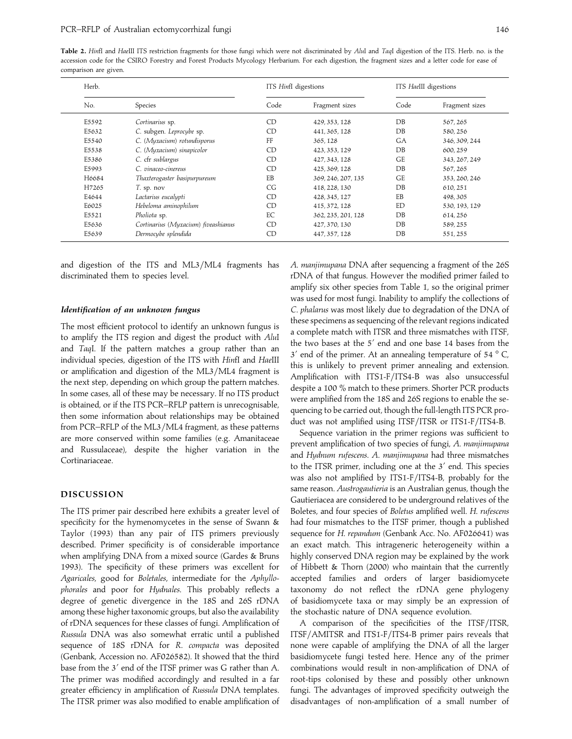**Table 2.** *Hin*fI and *Hae*III ITS restriction fragments for those fungi which were not discriminated by *Alu*I and *Taq*I digestion of the ITS. Herb. no. is the accession code for the CSIRO Forestry and Forest Products Mycology Herbarium. For each digestion, the fragment sizes and a letter code for ease of comparison are given.

| Herb.          |                                     | ITS HinfI digestions |                    | ITS HaellI digestions |                |  |
|----------------|-------------------------------------|----------------------|--------------------|-----------------------|----------------|--|
| No.<br>Species |                                     | Code                 | Fragment sizes     | Code                  | Fragment sizes |  |
| E5592          | Cortinarius sp.                     | CD                   | 429, 353, 128      | DB                    | 567, 265       |  |
| E5632          | C. subgen. Leprocybe sp.            | <b>CD</b>            | 441, 365, 128      | $DB$                  | 580, 256       |  |
| E5540          | C. (Myxacium) rotundisporus         | FF                   | 365, 128           | <b>GA</b>             | 346, 309, 244  |  |
| E5538          | C. (Myxacium) sinapicolor           | CD                   | 423, 353, 129      | DB                    | 600.259        |  |
| E5386          | C. cfr sublargus                    | CD.                  | 427, 343, 128      | <b>GE</b>             | 343, 267, 249  |  |
| E5993          | C. vinaceo-cinereus                 | CD                   | 425, 369, 128      | DB                    | 567, 265       |  |
| H6684          | Thaxterogaster basipurpureum        | EB                   | 369, 246, 207, 135 | <b>GE</b>             | 353, 260, 246  |  |
| H7265          | T. sp. nov                          | CG                   | 418, 228, 130      | DB                    | 610, 251       |  |
| E4644          | Lactarius eucalypti                 | CD                   | 428, 345, 127      | EB                    | 498, 305       |  |
| E6025          | Hebeloma aminophilum                | CD                   | 415, 372, 128      | ED                    | 530, 193, 129  |  |
| E5521          | Pholiota sp.                        | EC                   | 362, 235, 201, 128 | DB                    | 614, 256       |  |
| E5636          | Cortinarius (Myxacium) fiveashianus | CD                   | 427, 370, 130      | DB                    | 589, 255       |  |
| E5639          | Dermocybe splendida                 | CD                   | 447, 357, 128      | DB                    | 551, 255       |  |

and digestion of the ITS and ML3/ML4 fragments has discriminated them to species level.

### *Identification of an unknown fungus*

The most efficient protocol to identify an unknown fungus is to amplify the ITS region and digest the product with *Alu*I and *Taq*I. If the pattern matches a group rather than an individual species, digestion of the ITS with *Hin*fI and *Hae*III or amplification and digestion of the ML3/ML4 fragment is the next step, depending on which group the pattern matches. In some cases, all of these may be necessary. If no ITS product is obtained, or if the ITS PCR–RFLP pattern is unrecognisable, then some information about relationships may be obtained from PCR–RFLP of the ML3/ML4 fragment, as these patterns are more conserved within some families (e.g. Amanitaceae and Russulaceae), despite the higher variation in the Cortinariaceae.

## **DISCUSSION**

The ITS primer pair described here exhibits a greater level of specificity for the hymenomycetes in the sense of Swann & Taylor (1993) than any pair of ITS primers previously described. Primer specificity is of considerable importance when amplifying DNA from a mixed source (Gardes & Bruns 1993). The specificity of these primers was excellent for *Agaricales*, good for *Boletales*, intermediate for the *Aphyllophorales* and poor for *Hydnales*. This probably reflects a degree of genetic divergence in the 18S and 26S rDNA among these higher taxonomic groups, but also the availability of rDNA sequences for these classes of fungi. Amplification of *Russula* DNA was also somewhat erratic until a published sequence of 18S rDNA for *R*. *compacta* was deposited (Genbank, Accession no. AF026582). It showed that the third base from the 3' end of the ITSF primer was G rather than A. The primer was modified accordingly and resulted in a far greater efficiency in amplification of *Russula* DNA templates. The ITSR primer was also modified to enable amplification of *A*. *manjimupana* DNA after sequencing a fragment of the 26S rDNA of that fungus. However the modified primer failed to amplify six other species from Table 1, so the original primer was used for most fungi. Inability to amplify the collections of *C*. *phalarus* was most likely due to degradation of the DNA of these specimens as sequencing of the relevant regions indicated a complete match with ITSR and three mismatches with ITSF, the two bases at the 5' end and one base 14 bases from the  $3'$  end of the primer. At an annealing temperature of  $54 °C$ , this is unlikely to prevent primer annealing and extension. Amplification with ITS1-F/ITS4-B was also unsuccessful despite a 100 % match to these primers. Shorter PCR products were amplified from the 18S and 26S regions to enable the sequencing to be carried out, though the full-length ITS PCR product was not amplified using ITSF/ITSR or ITS1-F/ITS4-B.

Sequence variation in the primer regions was sufficient to prevent amplification of two species of fungi, *A*. *manjimupana* and *Hydnum rufescens*. *A*. *manjimupana* had three mismatches to the ITSR primer, including one at the  $3'$  end. This species was also not amplified by ITS1-F/ITS4-B, probably for the same reason. *Austrogautieria* is an Australian genus, though the Gautieriacea are considered to be underground relatives of the Boletes, and four species of *Boletus* amplified well. *H*. *rufescens* had four mismatches to the ITSF primer, though a published sequence for *H*. *repandum* (Genbank Acc. No. AF026641) was an exact match. This intrageneric heterogeneity within a highly conserved DNA region may be explained by the work of Hibbett & Thorn (2000) who maintain that the currently accepted families and orders of larger basidiomycete taxonomy do not reflect the rDNA gene phylogeny of basidiomycete taxa or may simply be an expression of the stochastic nature of DNA sequence evolution.

A comparison of the specificities of the ITSF/ITSR, ITSF}AMITSR and ITS1-F}ITS4-B primer pairs reveals that none were capable of amplifying the DNA of all the larger basidiomycete fungi tested here. Hence any of the primer combinations would result in non-amplification of DNA of root-tips colonised by these and possibly other unknown fungi. The advantages of improved specificity outweigh the disadvantages of non-amplification of a small number of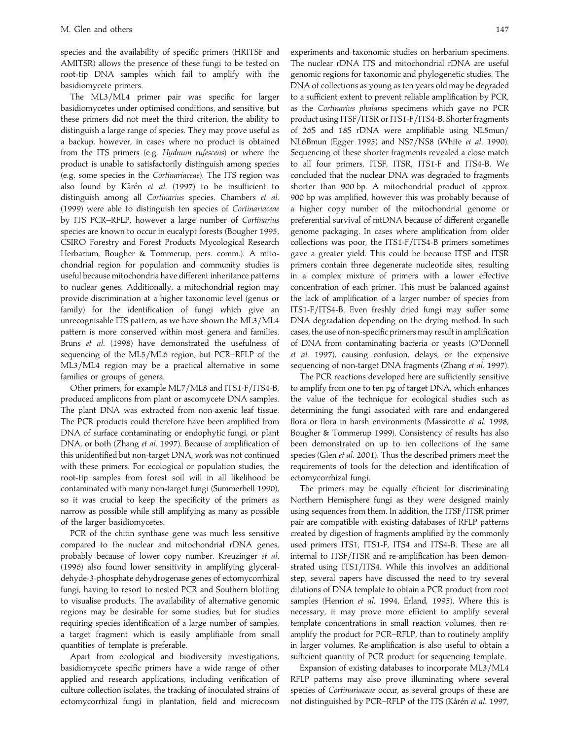species and the availability of specific primers (HRITSF and AMITSR) allows the presence of these fungi to be tested on root-tip DNA samples which fail to amplify with the basidiomycete primers.

The ML3/ML4 primer pair was specific for larger basidiomycetes under optimised conditions, and sensitive, but these primers did not meet the third criterion, the ability to distinguish a large range of species. They may prove useful as a backup, however, in cases where no product is obtained from the ITS primers (e.g. *Hydnum rufescens*) or where the product is unable to satisfactorily distinguish among species (e.g. some species in the *Cortinariaceae*). The ITS region was also found by Kårén et al. (1997) to be insufficient to distinguish among all *Cortinarius* species. Chambers *et al*. (1999) were able to distinguish ten species of *Cortinariaceae* by ITS PCR–RFLP, however a large number of *Cortinarius* species are known to occur in eucalypt forests (Bougher 1995, CSIRO Forestry and Forest Products Mycological Research Herbarium, Bougher & Tommerup, pers. comm.). A mitochondrial region for population and community studies is useful because mitochondria have different inheritance patterns to nuclear genes. Additionally, a mitochondrial region may provide discrimination at a higher taxonomic level (genus or family) for the identification of fungi which give an unrecognisable ITS pattern, as we have shown the ML3/ML4 pattern is more conserved within most genera and families. Bruns *et al*. (1998) have demonstrated the usefulness of sequencing of the ML5/ML6 region, but PCR–RFLP of the ML3}ML4 region may be a practical alternative in some families or groups of genera.

Other primers, for example ML7/ML8 and ITS1-F/ITS4-B, produced amplicons from plant or ascomycete DNA samples. The plant DNA was extracted from non-axenic leaf tissue. The PCR products could therefore have been amplified from DNA of surface contaminating or endophytic fungi, or plant DNA, or both (Zhang *et al*. 1997). Because of amplification of this unidentified but non-target DNA, work was not continued with these primers. For ecological or population studies, the root-tip samples from forest soil will in all likelihood be contaminated with many non-target fungi (Summerbell 1990), so it was crucial to keep the specificity of the primers as narrow as possible while still amplifying as many as possible of the larger basidiomycetes.

PCR of the chitin synthase gene was much less sensitive compared to the nuclear and mitochondrial rDNA genes, probably because of lower copy number. Kreuzinger *et al*. (1996) also found lower sensitivity in amplifying glyceraldehyde-3-phosphate dehydrogenase genes of ectomycorrhizal fungi, having to resort to nested PCR and Southern blotting to visualise products. The availability of alternative genomic regions may be desirable for some studies, but for studies requiring species identification of a large number of samples, a target fragment which is easily amplifiable from small quantities of template is preferable.

Apart from ecological and biodiversity investigations, basidiomycete specific primers have a wide range of other applied and research applications, including verification of culture collection isolates, the tracking of inoculated strains of ectomycorrhizal fungi in plantation, field and microcosm

experiments and taxonomic studies on herbarium specimens. The nuclear rDNA ITS and mitochondrial rDNA are useful genomic regions for taxonomic and phylogenetic studies. The DNA of collections as young as ten years old may be degraded to a sufficient extent to prevent reliable amplification by PCR, as the *Cortinarius phalarus* specimens which gave no PCR product using ITSF/ITSR or ITS1-F/ITS4-B. Shorter fragments of 26S and 18S rDNA were amplifiable using NL5mun} NL6Bmun (Egger 1995) and NS7}NS8 (White *et al*. 1990). Sequencing of these shorter fragments revealed a close match to all four primers, ITSF, ITSR, ITS1-F and ITS4-B. We concluded that the nuclear DNA was degraded to fragments shorter than 900 bp. A mitochondrial product of approx. 900 bp was amplified, however this was probably because of a higher copy number of the mitochondrial genome or preferential survival of mtDNA because of different organelle genome packaging. In cases where amplification from older collections was poor, the ITS1-F/ITS4-B primers sometimes gave a greater yield. This could be because ITSF and ITSR primers contain three degenerate nucleotide sites, resulting in a complex mixture of primers with a lower effective concentration of each primer. This must be balanced against the lack of amplification of a larger number of species from ITS1-F}ITS4-B. Even freshly dried fungi may suffer some DNA degradation depending on the drying method. In such cases, the use of non-specific primers may result in amplification of DNA from contaminating bacteria or yeasts (O'Donnell *et al*. 1997), causing confusion, delays, or the expensive sequencing of non-target DNA fragments (Zhang *et al*. 1997).

The PCR reactions developed here are sufficiently sensitive to amplify from one to ten pg of target DNA, which enhances the value of the technique for ecological studies such as determining the fungi associated with rare and endangered flora or flora in harsh environments (Massicotte *et al*. 1998, Bougher & Tommerup 1999). Consistency of results has also been demonstrated on up to ten collections of the same species (Glen *et al*. 2001). Thus the described primers meet the requirements of tools for the detection and identification of ectomycorrhizal fungi.

The primers may be equally efficient for discriminating Northern Hemisphere fungi as they were designed mainly using sequences from them. In addition, the ITSF/ITSR primer pair are compatible with existing databases of RFLP patterns created by digestion of fragments amplified by the commonly used primers ITS1, ITS1-F, ITS4 and ITS4-B. These are all internal to ITSF/ITSR and re-amplification has been demonstrated using ITS1/ITS4. While this involves an additional step, several papers have discussed the need to try several dilutions of DNA template to obtain a PCR product from root samples (Henrion *et al*. 1994, Erland, 1995). Where this is necessary, it may prove more efficient to amplify several template concentrations in small reaction volumes, then reamplify the product for PCR–RFLP, than to routinely amplify in larger volumes. Re-amplification is also useful to obtain a sufficient quantity of PCR product for sequencing template.

Expansion of existing databases to incorporate ML3/ML4 RFLP patterns may also prove illuminating where several species of *Cortinariaceae* occur, as several groups of these are not distinguished by PCR–RFLP of the ITS (Kårén et al. 1997,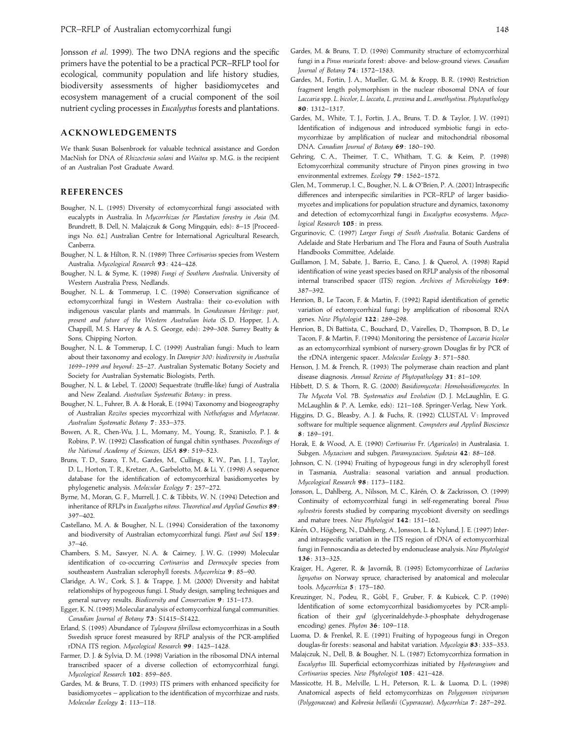Jonsson *et al*. 1999). The two DNA regions and the specific primers have the potential to be a practical PCR–RFLP tool for ecological, community population and life history studies, biodiversity assessments of higher basidiomycetes and ecosystem management of a crucial component of the soil nutrient cycling processes in *Eucalyptus* forests and plantations.

## **ACKNOWLEDGEMENTS**

We thank Susan Bolsenbroek for valuable technical assistance and Gordon MacNish for DNA of *Rhizoctonia solani* and *Waitea* sp. M.G. is the recipient of an Australian Post Graduate Award.

## **REFERENCES**

- Bougher, N. L. (1995) Diversity of ectomycorrhizal fungi associated with eucalypts in Australia. In *Mycorrhizas for Plantation forestry in Asia* (M. Brundrett, B. Dell, N. Malajczuk & Gong Mingquin, eds): 8-15 [Proceedings No. 62.] Australian Centre for International Agricultural Research, Canberra.
- Bougher, N. L. & Hilton, R. N. (1989) Three *Cortinarius* species from Western Australia. *Mycological Research* **93**: 424–428.
- Bougher, N. L. & Syme, K. (1998) *Fungi of Southern Australia*. University of Western Australia Press, Nedlands.
- Bougher, N. L. & Tommerup, I. C. (1996) Conservation significance of ectomycorrhizal fungi in Western Australia: their co-evolution with indigenous vascular plants and mammals. In *Gondwanan Heritage : past*, *present and future of the Western Australian biota* (S. D. Hopper, J. A. Chappill, M. S. Harvey & A. S. George, eds) : 299–308. Surrey Beatty & Sons, Chipping Norton.
- Bougher, N. L. & Tommerup, I. C. (1999) Australian fungi: Much to learn about their taxonomy and ecology. In *Dampier 300 : biodiversity in Australia 1699–1999 and beyond*: 25–27. Australian Systematic Botany Society and Society for Australian Systematic Biologists, Perth.
- Bougher, N. L. & Lebel, T. (2000) Sequestrate (truffle-like) fungi of Australia and New Zealand. *Australian Systematic Botany*: in press.
- Bougher, N. L., Fuhrer, B. A. & Horak, E. (1994) Taxonomy and biogeography of Australian *Rozites* species mycorrhizal with *Nothofagus* and *Myrtaceae*. *Australian Systematic Botany* **7**: 353–375.
- Bowen, A. R., Chen-Wu, J. L., Momany, M., Young, R., Szaniszlo, P. J. & Robins, P. W. (1992) Classfication of fungal chitin synthases. *Proceedings of the National Academy of Sciences*, *USA* **89**: 519–523.
- Bruns, T. D., Szaro, T. M., Gardes, M., Cullings, K. W., Pan, J. J., Taylor, D. L., Horton, T. R., Kretzer, A., Garbelotto, M. & Li, Y. (1998) A sequence database for the identification of ectomycorrhizal basidiomycetes by phylogenetic analysis. *Molecular Ecology* **7**: 257–272.
- Byrne, M., Moran, G. F., Murrell, J. C. & Tibbits, W. N. (1994) Detection and inheritance of RFLPs in *Eucalyptus nitens*. *Theoretical and Applied Genetics* **89**: 397–402.
- Castellano, M. A. & Bougher, N. L. (1994) Consideration of the taxonomy and biodiversity of Australian ectomycorrhizal fungi. *Plant and Soil* **159**: 37–46.
- Chambers, S. M., Sawyer, N. A. & Cairney, J. W. G. (1999) Molecular identification of co-occurring *Cortinarius* and *Dermocybe* species from southeastern Australian sclerophyll forests. *Mycorrhiza* **9**: 85–90.
- Claridge, A. W., Cork, S. J. & Trappe, J. M. (2000) Diversity and habitat relationships of hypogeous fungi. I. Study design, sampling techniques and general survey results. *Biodiversity and Conservation* **9**: 151–173.
- Egger, K. N. (1995) Molecular analysis of ectomycorrhizal fungal communities. *Canadian Journal of Botany* **73**: S1415–S1422.
- Erland, S. (1995) Abundance of *Tylospora fibrillosa* ectomycorrhizas in a South Swedish spruce forest measured by RFLP analysis of the PCR-amplified rDNA ITS region. *Mycological Research* **99**: 1425–1428.
- Farmer, D. J. & Sylvia, D. M. (1998) Variation in the ribosomal DNA internal transcribed spacer of a diverse collection of ectomycorrhizal fungi. *Mycological Research* **102**: 859–865.
- Gardes, M. & Bruns, T. D. (1993) ITS primers with enhanced specificity for basidiomycetes – application to the identification of mycorrhizae and rusts. *Molecular Ecology* **2**: 113–118.
- Gardes, M. & Bruns, T. D. (1996) Community structure of ectomycorrhizal fungi in a *Pinus muricata* forest : above- and below-ground views. *Canadian Journal of Botany* **74**: 1572–1583.
- Gardes, M., Fortin, J. A., Mueller, G. M. & Kropp, B. R. (1990) Restriction fragment length polymorphism in the nuclear ribosomal DNA of four *Laccaria* spp. *L*. *bicolor*, *L*. *laccata*, *L*. *proxima* and *L*. *amethystina*. *Phytopathology* **80**: 1312–1317.
- Gardes, M., White, T. J., Fortin, J. A., Bruns, T. D. & Taylor, J. W. (1991) Identification of indigenous and introduced symbiotic fungi in ectomycorrhizae by amplification of nuclear and mitochondrial ribosomal DNA. *Canadian Journal of Botany* **69**: 180–190.
- Gehring, C. A., Theimer, T. C., Whitham, T. G. & Keim, P. (1998) Ectomycorrhizal community structure of Pinyon pines growing in two environmental extremes. *Ecology* **79**: 1562–1572.
- Glen, M., Tommerup, I. C., Bougher, N. L. & O'Brien, P. A. (2001) Intraspecific differences and interspecific similarities in PCR–RFLP of larger basidiomycetes and implications for population structure and dynamics, taxonomy and detection of ectomycorrhizal fungi in *Eucalyptus* ecosystems. *Mycological Research* **105**: in press.
- Grgurinovic, C. (1997) *Larger Fungi of South Australia*. Botanic Gardens of Adelaide and State Herbarium and The Flora and Fauna of South Australia Handbooks Committee, Adelaide.
- Guillamon, J. M., Sabate, J., Barrio, E., Cano, J. & Querol, A. (1998) Rapid identification of wine yeast species based on RFLP analysis of the ribosomal internal transcribed spacer (ITS) region. *Archives of Microbiology* **169**: 387–392.
- Henrion, B., Le Tacon, F. & Martin, F. (1992) Rapid identification of genetic variation of ectomycorrhizal fungi by amplification of ribosomal RNA genes. *New Phytologist* **122**: 289–298.
- Henrion, B., Di Battista, C., Bouchard, D., Vairelles, D., Thompson, B. D., Le Tacon, F. & Martin, F. (1994) Monitoring the persistence of *Laccaria bicolor* as an ectomycorrhizal symbiont of nursery-grown Douglas fir by PCR of the rDNA intergenic spacer. *Molecular Ecology* **3**: 571–580.
- Henson, J. M. & French, R. (1993) The polymerase chain reaction and plant disease diagnosis. *Annual Review of Phytopathology* **31**: 81–109.
- Hibbett, D. S. & Thorn, R. G. (2000) *Basidiomycota*: *Homobasidiomycetes*. In *The Mycota* Vol. 7B. *Systematics and Evolution* (D. J. McLaughlin, E. G. McLaughlin & P. A. Lemke, eds) : 121–168. Springer-Verlag, New York.
- Higgins, D. G., Bleasby, A. J. & Fuchs, R. (1992) CLUSTAL V: Improved software for multiple sequence alignment. *Computers and Applied Bioscience* **8**: 189–191.
- Horak, E. & Wood, A. E. (1990) *Cortinarius* Fr. (*Agaricales*) in Australasia. 1. Subgen. *Myxacium* and subgen. *Paramyxacium*. *Sydowia* **42**: 88–168.
- Johnson, C. N. (1994) Fruiting of hypogeous fungi in dry sclerophyll forest in Tasmania, Australia: seasonal variation and annual production. *Mycological Research* **98**: 1173–1182.
- Jonsson, L., Dahlberg, A., Nilsson, M. C., Kårén, O. & Zackrisson, O. (1999) Continuity of ectomycorrhizal fungi in self-regenerating boreal *Pinus sylvestris* forests studied by comparing mycobiont diversity on seedlings and mature trees. *New Phytologist* **142**: 151–162.
- Kårén, O., Högberg, N., Dahlberg, A., Jonsson, L. & Nylund, J. E. (1997) Interand intraspecific variation in the ITS region of rDNA of ectomycorrhizal fungi in Fennoscandia as detected by endonuclease analysis. *New Phytologist* **136**: 313–325.
- Kraiger, H., Agerer, R. & Javornik, B. (1995) Ectomycorrhizae of *Lactarius lignyotus* on Norway spruce, characterised by anatomical and molecular tools. *Mycorrhiza* **5**: 175–180.
- Kreuzinger, N., Podeu, R., Göbl, F., Gruber, F. & Kubicek, C. P. (1996) Identification of some ectomycorrhizal basidiomycetes by PCR-amplification of their *gpd* (glycerinaldehyde-3-phosphate dehydrogenase encoding) genes. *Phyton* **36**: 109–118.
- Luoma, D. & Frenkel, R. E. (1991) Fruiting of hypogeous fungi in Oregon douglas-fir forests : seasonal and habitat variation. *Mycologia* **83**: 335–353.
- Malajczuk, N., Dell, B. & Bougher, N. L. (1987) Ectomycorrhiza formation in *Eucalyptus* III. Superficial ectomycorrhizas initiated by *Hysterangium* and *Cortinarius* species. *New Phytologist* **105**: 421–428.
- Massicotte, H. B., Melville, L. H., Peterson, R. L. & Luoma, D. L. (1998) Anatomical aspects of field ectomycorrhizas on *Polygonum viviparum* (*Polygonaceae*) and *Kobresia bellardii* (*Cyperaceae*). *Mycorrhiza* **7**: 287–292.